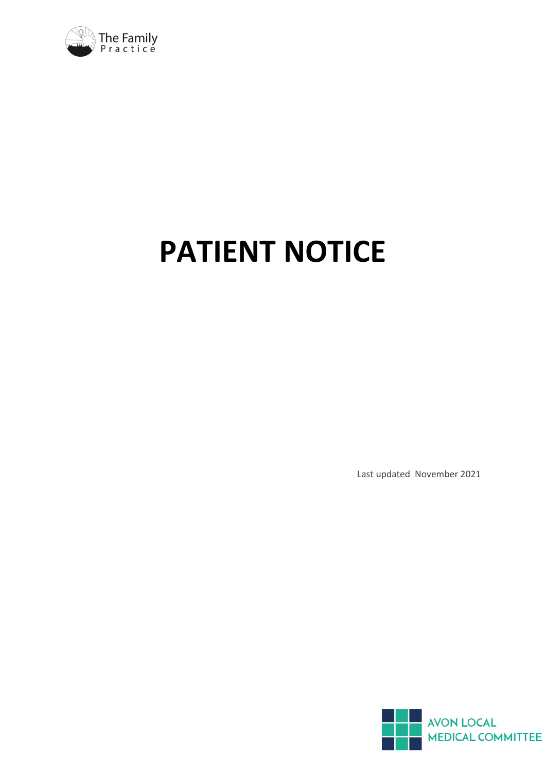

# **PATIENT NOTICE**

Last updated November 2021

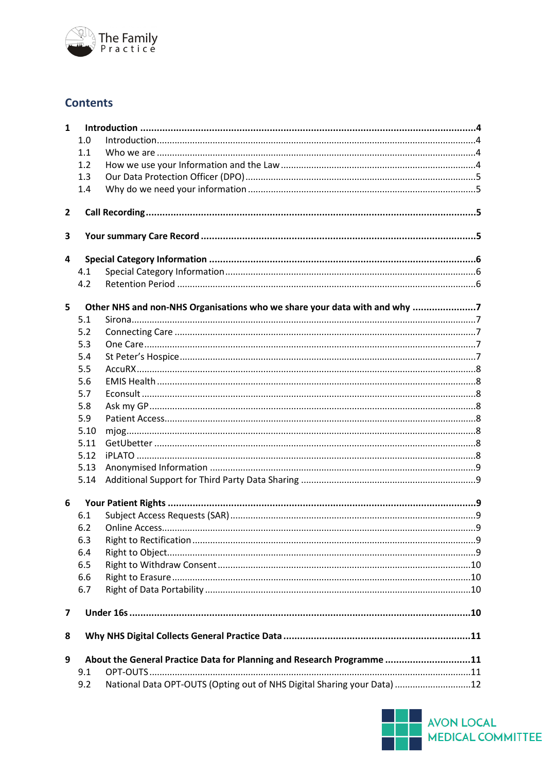

### **Contents**

| $\mathbf{1}$            |                                                                               |                                                                           |  |  |  |  |
|-------------------------|-------------------------------------------------------------------------------|---------------------------------------------------------------------------|--|--|--|--|
|                         | 1.0                                                                           |                                                                           |  |  |  |  |
|                         | 1.1                                                                           |                                                                           |  |  |  |  |
|                         | 1.2                                                                           |                                                                           |  |  |  |  |
|                         | 1.3                                                                           |                                                                           |  |  |  |  |
|                         | 1.4                                                                           |                                                                           |  |  |  |  |
| 2                       |                                                                               |                                                                           |  |  |  |  |
| 3                       |                                                                               |                                                                           |  |  |  |  |
|                         |                                                                               |                                                                           |  |  |  |  |
| $\overline{\mathbf{4}}$ |                                                                               |                                                                           |  |  |  |  |
|                         | 4.1                                                                           |                                                                           |  |  |  |  |
|                         | 4.2                                                                           |                                                                           |  |  |  |  |
| 5                       |                                                                               | Other NHS and non-NHS Organisations who we share your data with and why 7 |  |  |  |  |
|                         | 5.1                                                                           |                                                                           |  |  |  |  |
|                         | 5.2                                                                           |                                                                           |  |  |  |  |
|                         | 5.3                                                                           |                                                                           |  |  |  |  |
|                         | 5.4                                                                           |                                                                           |  |  |  |  |
|                         | 5.5                                                                           |                                                                           |  |  |  |  |
|                         | 5.6                                                                           |                                                                           |  |  |  |  |
|                         | 5.7                                                                           |                                                                           |  |  |  |  |
|                         | 5.8                                                                           |                                                                           |  |  |  |  |
|                         | 5.9                                                                           |                                                                           |  |  |  |  |
|                         | 5.10                                                                          |                                                                           |  |  |  |  |
|                         | 5.11                                                                          |                                                                           |  |  |  |  |
|                         | 5.12                                                                          |                                                                           |  |  |  |  |
|                         | 5.13                                                                          |                                                                           |  |  |  |  |
|                         | 5.14                                                                          |                                                                           |  |  |  |  |
| $6\phantom{1}6$         |                                                                               |                                                                           |  |  |  |  |
|                         | 6.1                                                                           |                                                                           |  |  |  |  |
|                         | 6.2                                                                           |                                                                           |  |  |  |  |
|                         | 6.3                                                                           |                                                                           |  |  |  |  |
|                         | 6.4                                                                           |                                                                           |  |  |  |  |
|                         | 6.5                                                                           |                                                                           |  |  |  |  |
|                         | 6.6                                                                           |                                                                           |  |  |  |  |
|                         | 6.7                                                                           |                                                                           |  |  |  |  |
| 7                       |                                                                               |                                                                           |  |  |  |  |
|                         |                                                                               |                                                                           |  |  |  |  |
| 8                       |                                                                               |                                                                           |  |  |  |  |
| 9                       | About the General Practice Data for Planning and Research Programme 11<br>9.1 |                                                                           |  |  |  |  |
|                         | 9.2                                                                           | National Data OPT-OUTS (Opting out of NHS Digital Sharing your Data) 12   |  |  |  |  |

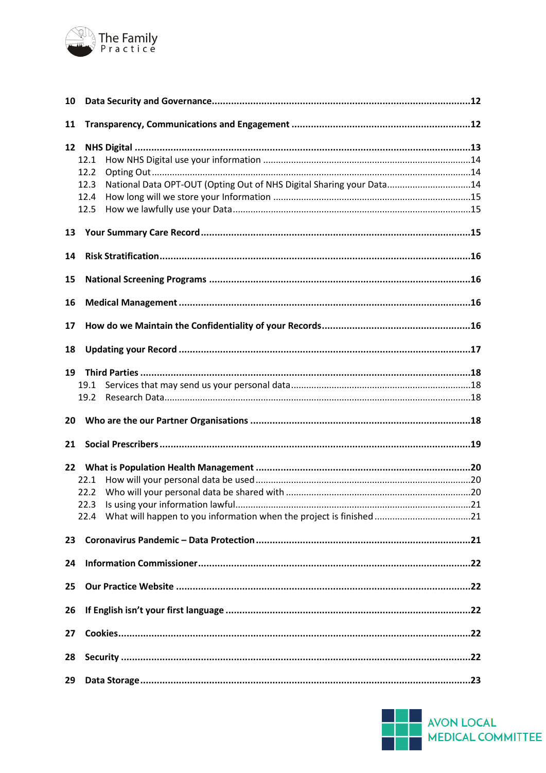

| 10              |                                                                              |  |  |  |
|-----------------|------------------------------------------------------------------------------|--|--|--|
| 11              |                                                                              |  |  |  |
| 12 <sub>2</sub> |                                                                              |  |  |  |
|                 | 12.1                                                                         |  |  |  |
|                 | 12.2                                                                         |  |  |  |
|                 | National Data OPT-OUT (Opting Out of NHS Digital Sharing your Data14<br>12.3 |  |  |  |
|                 | 12.4                                                                         |  |  |  |
|                 |                                                                              |  |  |  |
|                 | 12.5                                                                         |  |  |  |
| 13              |                                                                              |  |  |  |
| 14              |                                                                              |  |  |  |
| 15              |                                                                              |  |  |  |
| 16              |                                                                              |  |  |  |
|                 |                                                                              |  |  |  |
| 17              |                                                                              |  |  |  |
| 18              |                                                                              |  |  |  |
| 19              |                                                                              |  |  |  |
|                 | 19.1                                                                         |  |  |  |
|                 | 19.2                                                                         |  |  |  |
| 20              |                                                                              |  |  |  |
| 21              |                                                                              |  |  |  |
|                 |                                                                              |  |  |  |
|                 | 22.1                                                                         |  |  |  |
|                 | 22.2                                                                         |  |  |  |
|                 |                                                                              |  |  |  |
|                 |                                                                              |  |  |  |
| 23              |                                                                              |  |  |  |
| 24              |                                                                              |  |  |  |
| 25              |                                                                              |  |  |  |
|                 |                                                                              |  |  |  |
| 26              |                                                                              |  |  |  |
| 27              |                                                                              |  |  |  |
| 28              |                                                                              |  |  |  |
| 29              |                                                                              |  |  |  |

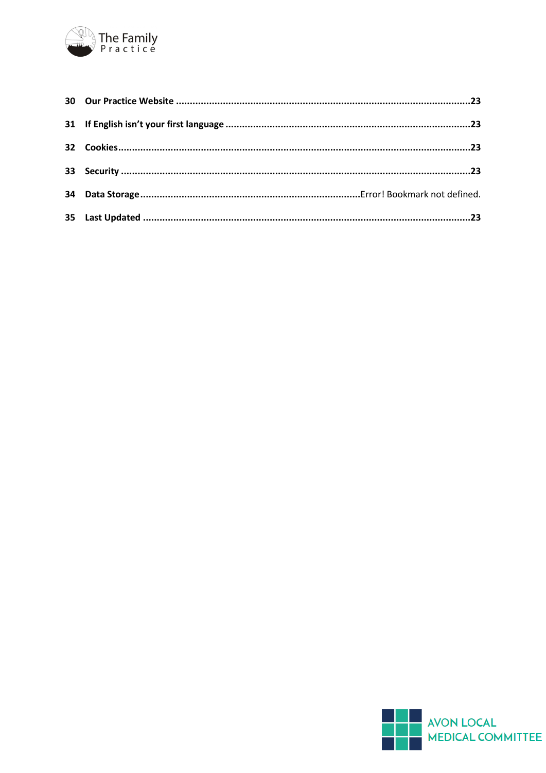

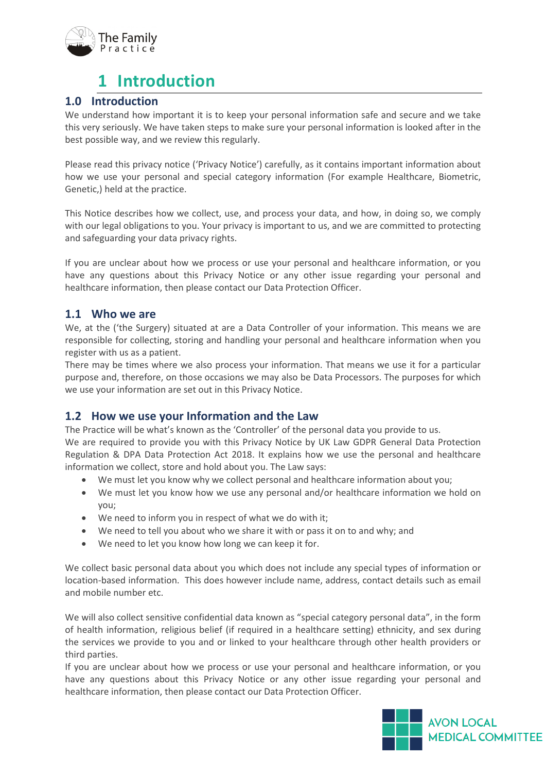

### **1 Introduction**

#### <span id="page-4-1"></span><span id="page-4-0"></span>**1.0 Introduction**

We understand how important it is to keep your personal information safe and secure and we take this very seriously. We have taken steps to make sure your personal information is looked after in the best possible way, and we review this regularly.

Please read this privacy notice ('Privacy Notice') carefully, as it contains important information about how we use your personal and special category information (For example Healthcare, Biometric, Genetic,) held at the practice.

This Notice describes how we collect, use, and process your data, and how, in doing so, we comply with our legal obligations to you. Your privacy is important to us, and we are committed to protecting and safeguarding your data privacy rights.

If you are unclear about how we process or use your personal and healthcare information, or you have any questions about this Privacy Notice or any other issue regarding your personal and healthcare information, then please contact our Data Protection Officer.

#### <span id="page-4-2"></span>**1.1 Who we are**

We, at the ('the Surgery) situated at are a Data Controller of your information. This means we are responsible for collecting, storing and handling your personal and healthcare information when you register with us as a patient.

There may be times where we also process your information. That means we use it for a particular purpose and, therefore, on those occasions we may also be Data Processors. The purposes for which we use your information are set out in this Privacy Notice.

#### <span id="page-4-3"></span>**1.2 How we use your Information and the Law**

The Practice will be what's known as the 'Controller' of the personal data you provide to us.

We are required to provide you with this Privacy Notice by UK Law GDPR General Data Protection Regulation & DPA Data Protection Act 2018. It explains how we use the personal and healthcare information we collect, store and hold about you. The Law says:

- We must let you know why we collect personal and healthcare information about you;
- We must let you know how we use any personal and/or healthcare information we hold on you;
- We need to inform you in respect of what we do with it;
- We need to tell you about who we share it with or pass it on to and why; and
- We need to let you know how long we can keep it for.

We collect basic personal data about you which does not include any special types of information or location-based information. This does however include name, address, contact details such as email and mobile number etc.

We will also collect sensitive confidential data known as "special category personal data", in the form of health information, religious belief (if required in a healthcare setting) ethnicity, and sex during the services we provide to you and or linked to your healthcare through other health providers or third parties.

If you are unclear about how we process or use your personal and healthcare information, or you have any questions about this Privacy Notice or any other issue regarding your personal and healthcare information, then please contact our Data Protection Officer.

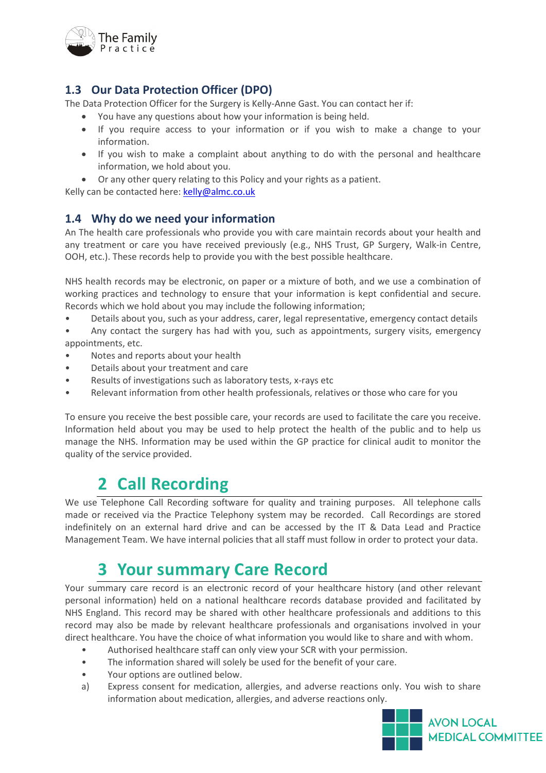

### <span id="page-5-0"></span>**1.3 Our Data Protection Officer (DPO)**

The Data Protection Officer for the Surgery is Kelly-Anne Gast. You can contact her if:

- You have any questions about how your information is being held.
- If you require access to your information or if you wish to make a change to your information.
- If you wish to make a complaint about anything to do with the personal and healthcare information, we hold about you.
- Or any other query relating to this Policy and your rights as a patient.

Kelly can be contacted here: [kelly@almc.co.uk](mailto:kelly@almc.co.uk)

### <span id="page-5-1"></span>**1.4 Why do we need your information**

An The health care professionals who provide you with care maintain records about your health and any treatment or care you have received previously (e.g., NHS Trust, GP Surgery, Walk-in Centre, OOH, etc.). These records help to provide you with the best possible healthcare.

NHS health records may be electronic, on paper or a mixture of both, and we use a combination of working practices and technology to ensure that your information is kept confidential and secure. Records which we hold about you may include the following information;

• Details about you, such as your address, carer, legal representative, emergency contact details

• Any contact the surgery has had with you, such as appointments, surgery visits, emergency appointments, etc.

- Notes and reports about your health
- Details about your treatment and care
- Results of investigations such as laboratory tests, x-rays etc
- Relevant information from other health professionals, relatives or those who care for you

To ensure you receive the best possible care, your records are used to facilitate the care you receive. Information held about you may be used to help protect the health of the public and to help us manage the NHS. Information may be used within the GP practice for clinical audit to monitor the quality of the service provided.

### **2 Call Recording**

<span id="page-5-2"></span>We use Telephone Call Recording software for quality and training purposes. All telephone calls made or received via the Practice Telephony system may be recorded. Call Recordings are stored indefinitely on an external hard drive and can be accessed by the IT & Data Lead and Practice Management Team. We have internal policies that all staff must follow in order to protect your data.

### **3 Your summary Care Record**

<span id="page-5-3"></span>Your summary care record is an electronic record of your healthcare history (and other relevant personal information) held on a national healthcare records database provided and facilitated by NHS England. This record may be shared with other healthcare professionals and additions to this record may also be made by relevant healthcare professionals and organisations involved in your direct healthcare. You have the choice of what information you would like to share and with whom.

- Authorised healthcare staff can only view your SCR with your permission.
- The information shared will solely be used for the benefit of your care.
- Your options are outlined below.
- a) Express consent for medication, allergies, and adverse reactions only. You wish to share information about medication, allergies, and adverse reactions only.

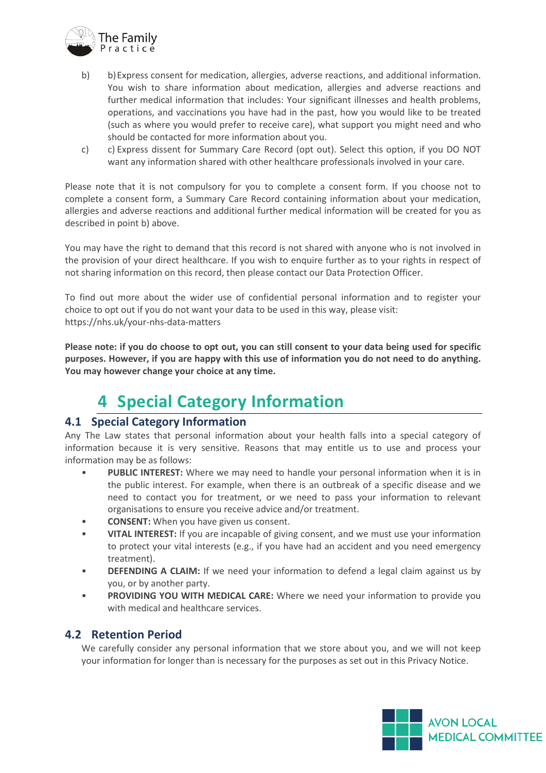

- b) b)Express consent for medication, allergies, adverse reactions, and additional information. You wish to share information about medication, allergies and adverse reactions and further medical information that includes: Your significant illnesses and health problems, operations, and vaccinations you have had in the past, how you would like to be treated (such as where you would prefer to receive care), what support you might need and who should be contacted for more information about you.
- c) c) Express dissent for Summary Care Record (opt out). Select this option, if you DO NOT want any information shared with other healthcare professionals involved in your care.

Please note that it is not compulsory for you to complete a consent form. If you choose not to complete a consent form, a Summary Care Record containing information about your medication, allergies and adverse reactions and additional further medical information will be created for you as described in point b) above.

You may have the right to demand that this record is not shared with anyone who is not involved in the provision of your direct healthcare. If you wish to enquire further as to your rights in respect of not sharing information on this record, then please contact our Data Protection Officer.

To find out more about the wider use of confidential personal information and to register your choice to opt out if you do not want your data to be used in this way, please visit: https://nhs.uk/your-nhs-data-matters

**Please note: if you do choose to opt out, you can still consent to your data being used for specific purposes. However, if you are happy with this use of information you do not need to do anything. You may however change your choice at any time.**

### **4 Special Category Information**

### <span id="page-6-1"></span><span id="page-6-0"></span>**4.1 Special Category Information**

Any The Law states that personal information about your health falls into a special category of information because it is very sensitive. Reasons that may entitle us to use and process your information may be as follows:

- **PUBLIC INTEREST:** Where we may need to handle your personal information when it is in the public interest. For example, when there is an outbreak of a specific disease and we need to contact you for treatment, or we need to pass your information to relevant organisations to ensure you receive advice and/or treatment.
- **CONSENT:** When you have given us consent.
- **VITAL INTEREST:** If you are incapable of giving consent, and we must use your information to protect your vital interests (e.g., if you have had an accident and you need emergency treatment).
- **DEFENDING A CLAIM:** If we need your information to defend a legal claim against us by you, or by another party.
- **PROVIDING YOU WITH MEDICAL CARE:** Where we need your information to provide you with medical and healthcare services.

### <span id="page-6-2"></span>**4.2 Retention Period**

We carefully consider any personal information that we store about you, and we will not keep your information for longer than is necessary for the purposes as set out in this Privacy Notice.

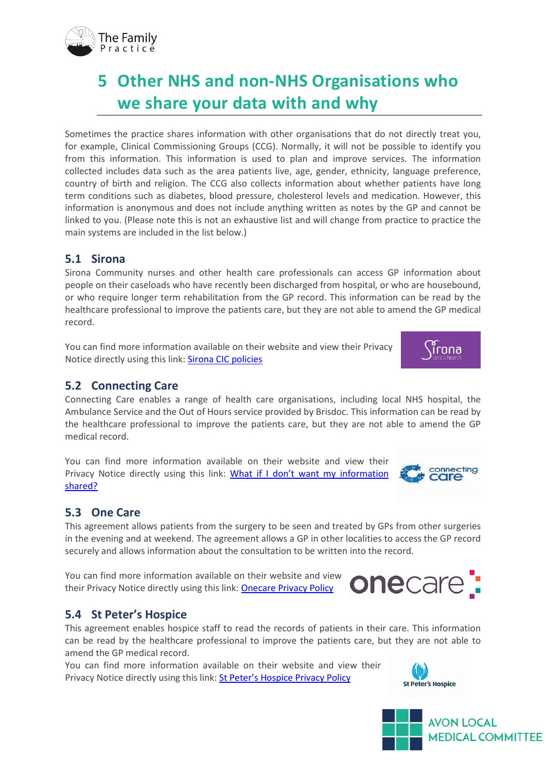

# <span id="page-7-0"></span>**5 Other NHS and non-NHS Organisations who we share your data with and why**

Sometimes the practice shares information with other organisations that do not directly treat you, for example, Clinical Commissioning Groups (CCG). Normally, it will not be possible to identify you from this information. This information is used to plan and improve services. The information collected includes data such as the area patients live, age, gender, ethnicity, language preference, country of birth and religion. The CCG also collects information about whether patients have long term conditions such as diabetes, blood pressure, cholesterol levels and medication. However, this information is anonymous and does not include anything written as notes by the GP and cannot be linked to you. (Please note this is not an exhaustive list and will change from practice to practice the main systems are included in the list below.)

### <span id="page-7-1"></span>**5.1 Sirona**

Sirona Community nurses and other health care professionals can access GP information about people on their caseloads who have recently been discharged from hospital, or who are housebound, or who require longer term rehabilitation from the GP record. This information can be read by the healthcare professional to improve the patients care, but they are not able to amend the GP medical record.

You can find more information available on their website and view their Privacy Notice directly using this link: Sirona CIC policies

### <span id="page-7-2"></span>**5.2 Connecting Care**

Connecting Care enables a range of health care organisations, including local NHS hospital, the Ambulance Service and the Out of Hours service provided by Brisdoc. This information can be read by the healthcare professional to improve the patients care, but they are not able to amend the GP medical record.

You can find more information available on their website and view their Privacy Notice directly using this link: [What if I don't want my information](https://www.connectingcarebnssg.co.uk/what-this-means-for-me/what-if-i-don-t-want-my-information-shared/)  [shared?](https://www.connectingcarebnssg.co.uk/what-this-means-for-me/what-if-i-don-t-want-my-information-shared/)

### <span id="page-7-3"></span>**5.3 One Care**

This agreement allows patients from the surgery to be seen and treated by GPs from other surgeries in the evening and at weekend. The agreement allows a GP in other localities to access the GP record securely and allows information about the consultation to be written into the record.

You can find more information available on their website and view their Privacy Notice directly using this link: [Onecare Privacy Policy](https://onecare.org.uk/privacy-policy/)



### <span id="page-7-4"></span>**5.4 St Peter's Hospice**

This agreement enables hospice staff to read the records of patients in their care. This information can be read by the healthcare professional to improve the patients care, but they are not able to amend the GP medical record.

You can find more information available on their website and view their Privacy Notice directly using this link: [St Peter's Hospice Privacy Policy](https://www.stpetershospice.org/privacy-policy/)







connecting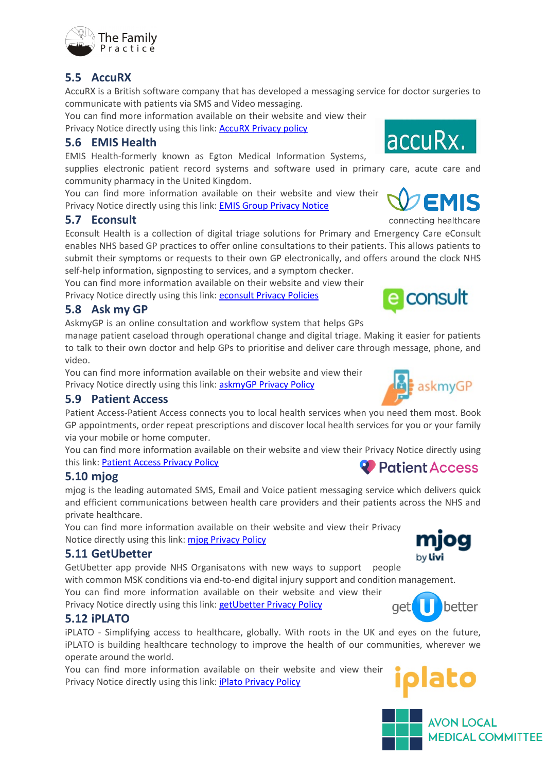

### <span id="page-8-0"></span>**5.5 AccuRX**

AccuRX is a British software company that has developed a messaging service for doctor surgeries to communicate with patients via SMS and Video messaging.

You can find more information available on their website and view their Privacy Notice directly using this link: **AccuRX Privacy policy** 

### <span id="page-8-1"></span>**5.6 EMIS Health**

EMIS Health-formerly known as Egton Medical Information Systems,

supplies electronic patient record systems and software used in primary care, acute care and community pharmacy in the United Kingdom.

You can find more information available on their website and view their Privacy Notice directly using this link: [EMIS Group Privacy Notice](https://www.emishealth.com/legal/)

### <span id="page-8-2"></span>**5.7 Econsult**

Econsult Health is a collection of digital triage solutions for Primary and Emergency Care eConsult enables NHS based GP practices to offer online consultations to their patients. This allows patients to submit their symptoms or requests to their own GP electronically, and offers around the clock NHS self-help information, signposting to services, and a symptom checker.

You can find more information available on their website and view their

Privacy Notice directly using this link: [econsult Privacy Policies](https://econsult.net/privacy-policies)

### <span id="page-8-3"></span>**5.8 Ask my GP**

AskmyGP is an online consultation and workflow system that helps GPs

manage patient caseload through operational change and digital triage. Making it easier for patients to talk to their own doctor and help GPs to prioritise and deliver care through message, phone, and video.

You can find more information available on their website and view their Privacy Notice directly using this link: [askmyGP Privacy Policy](https://askmygp.uk/privacy-policy-gdpr/)

### <span id="page-8-4"></span>**5.9 Patient Access**

Patient Access-Patient Access connects you to local health services when you need them most. Book GP appointments, order repeat prescriptions and discover local health services for you or your family via your mobile or home computer.

You can find more information available on their website and view their Privacy Notice directly using this link: [Patient Access Privacy Policy](https://support.patientaccess.com/privacy-policy) **Patient Access** 

### <span id="page-8-5"></span>**5.10 mjog**

mjog is the leading automated SMS, Email and Voice patient messaging service which delivers quick and efficient communications between health care providers and their patients across the NHS and private healthcare.

You can find more information available on their website and view their Privacy Notice directly using this link: mjog [Privacy Policy](https://mjog.livi.co.uk/privacy-policy)

### <span id="page-8-6"></span>**5.11 GetUbetter**

GetUbetter app provide NHS Organisatons with new ways to support people with common MSK conditions via end-to-end digital injury support and condition management. You can find more information available on their website and view their

Privacy Notice directly using this link: [getUbetter Privacy Policy](https://www.getubetter.com/privacy-policy)

### <span id="page-8-7"></span>**5.12 iPLATO**

iPLATO - Simplifying access to healthcare, globally. With roots in the UK and eyes on the future, iPLATO is building healthcare technology to improve the health of our communities, wherever we operate around the world.

You can find more information available on their website and view their Privacy Notice directly using this link: [iPlato Privacy Policy](https://www.iplato.com/privacy/)





askmyGP









connecting healthcare







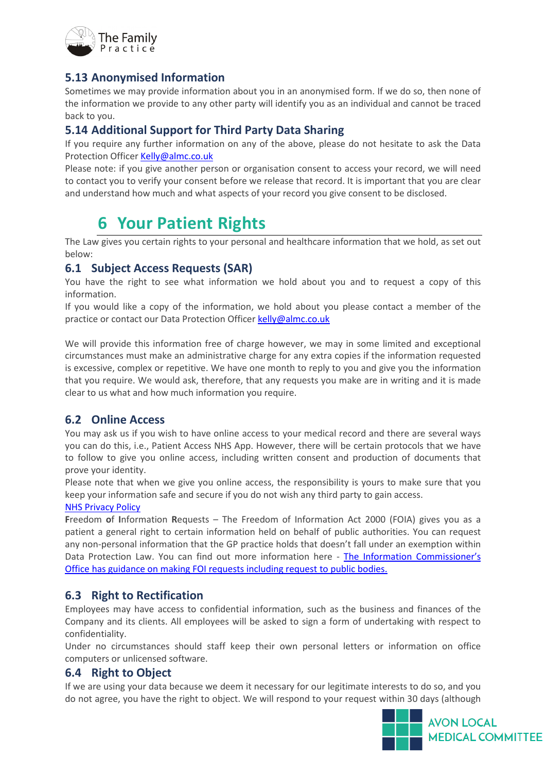

### <span id="page-9-0"></span>**5.13 Anonymised Information**

Sometimes we may provide information about you in an anonymised form. If we do so, then none of the information we provide to any other party will identify you as an individual and cannot be traced back to you.

#### <span id="page-9-1"></span>**5.14 Additional Support for Third Party Data Sharing**

If you require any further information on any of the above, please do not hesitate to ask the Data Protection Officer [Kelly@almc.co.uk](mailto:Kelly@almc.co.uk)

Please note: if you give another person or organisation consent to access your record, we will need to contact you to verify your consent before we release that record. It is important that you are clear and understand how much and what aspects of your record you give consent to be disclosed.

### **6 Your Patient Rights**

<span id="page-9-2"></span>The Law gives you certain rights to your personal and healthcare information that we hold, as set out below:

#### <span id="page-9-3"></span>**6.1 Subject Access Requests (SAR)**

You have the right to see what information we hold about you and to request a copy of this information.

If you would like a copy of the information, we hold about you please contact a member of the practice or contact our Data Protection Officer [kelly@almc.co.uk](mailto:kelly@almc.co.uk)

We will provide this information free of charge however, we may in some limited and exceptional circumstances must make an administrative charge for any extra copies if the information requested is excessive, complex or repetitive. We have one month to reply to you and give you the information that you require. We would ask, therefore, that any requests you make are in writing and it is made clear to us what and how much information you require.

### <span id="page-9-4"></span>**6.2 Online Access**

You may ask us if you wish to have online access to your medical record and there are several ways you can do this, i.e., Patient Access NHS App. However, there will be certain protocols that we have to follow to give you online access, including written consent and production of documents that prove your identity.

Please note that when we give you online access, the responsibility is yours to make sure that you keep your information safe and secure if you do not wish any third party to gain access.

#### [NHS Privacy Policy](https://www.nhs.uk/nhs-app/nhs-app-legal-and-cookies/nhs-app-privacy-policy/privacy-policy/)

**F**reedom **o**f **I**nformation **R**equests – The Freedom of Information Act 2000 (FOIA) gives you as a patient a general right to certain information held on behalf of public authorities. You can request any non-personal information that the GP practice holds that doesn't fall under an exemption within Data Protection Law. You can find out more information here - [The Information Commissioner's](https://ico.org.uk/your-data-matters/official-information/)  [Office has guidance on making FOI requests including request to public bodies.](https://ico.org.uk/your-data-matters/official-information/)

#### <span id="page-9-5"></span>**6.3 Right to Rectification**

Employees may have access to confidential information, such as the business and finances of the Company and its clients. All employees will be asked to sign a form of undertaking with respect to confidentiality.

Under no circumstances should staff keep their own personal letters or information on office computers or unlicensed software.

#### <span id="page-9-6"></span>**6.4 Right to Object**

If we are using your data because we deem it necessary for our legitimate interests to do so, and you do not agree, you have the right to object. We will respond to your request within 30 days (although

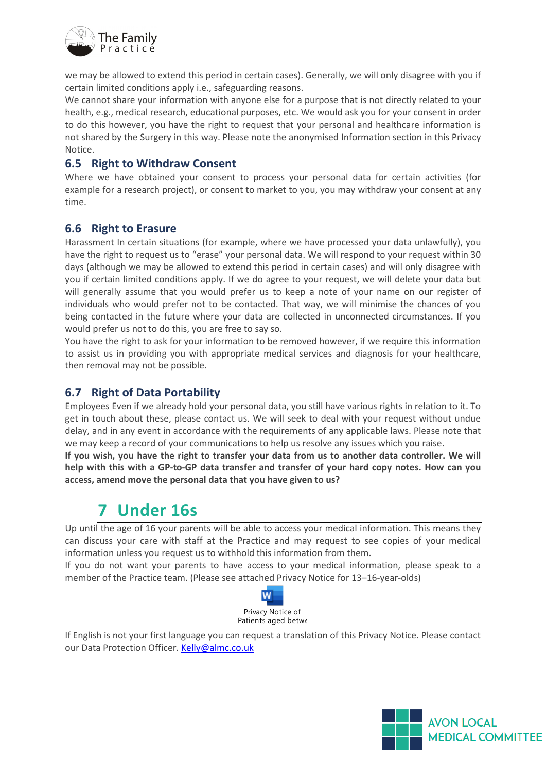

we may be allowed to extend this period in certain cases). Generally, we will only disagree with you if certain limited conditions apply i.e., safeguarding reasons.

We cannot share your information with anyone else for a purpose that is not directly related to your health, e.g., medical research, educational purposes, etc. We would ask you for your consent in order to do this however, you have the right to request that your personal and healthcare information is not shared by the Surgery in this way. Please note the anonymised Information section in this Privacy Notice.

#### <span id="page-10-0"></span>**6.5 Right to Withdraw Consent**

Where we have obtained your consent to process your personal data for certain activities (for example for a research project), or consent to market to you, you may withdraw your consent at any time.

#### <span id="page-10-1"></span>**6.6 Right to Erasure**

Harassment In certain situations (for example, where we have processed your data unlawfully), you have the right to request us to "erase" your personal data. We will respond to your request within 30 days (although we may be allowed to extend this period in certain cases) and will only disagree with you if certain limited conditions apply. If we do agree to your request, we will delete your data but will generally assume that you would prefer us to keep a note of your name on our register of individuals who would prefer not to be contacted. That way, we will minimise the chances of you being contacted in the future where your data are collected in unconnected circumstances. If you would prefer us not to do this, you are free to say so.

You have the right to ask for your information to be removed however, if we require this information to assist us in providing you with appropriate medical services and diagnosis for your healthcare, then removal may not be possible.

### <span id="page-10-2"></span>**6.7 Right of Data Portability**

Employees Even if we already hold your personal data, you still have various rights in relation to it. To get in touch about these, please contact us. We will seek to deal with your request without undue delay, and in any event in accordance with the requirements of any applicable laws. Please note that we may keep a record of your communications to help us resolve any issues which you raise.

**If you wish, you have the right to transfer your data from us to another data controller. We will help with this with a GP-to-GP data transfer and transfer of your hard copy notes. How can you access, amend move the personal data that you have given to us?**

### **7 Under 16s**

<span id="page-10-3"></span>Up until the age of 16 your parents will be able to access your medical information. This means they can discuss your care with staff at the Practice and may request to see copies of your medical information unless you request us to withhold this information from them.

If you do not want your parents to have access to your medical information, please speak to a member of the Practice team. (Please see attached Privacy Notice for 13–16-year-olds)



If English is not your first language you can request a translation of this Privacy Notice. Please contact our Data Protection Officer[. Kelly@almc.co.uk](mailto:Kelly@almc.co.uk)

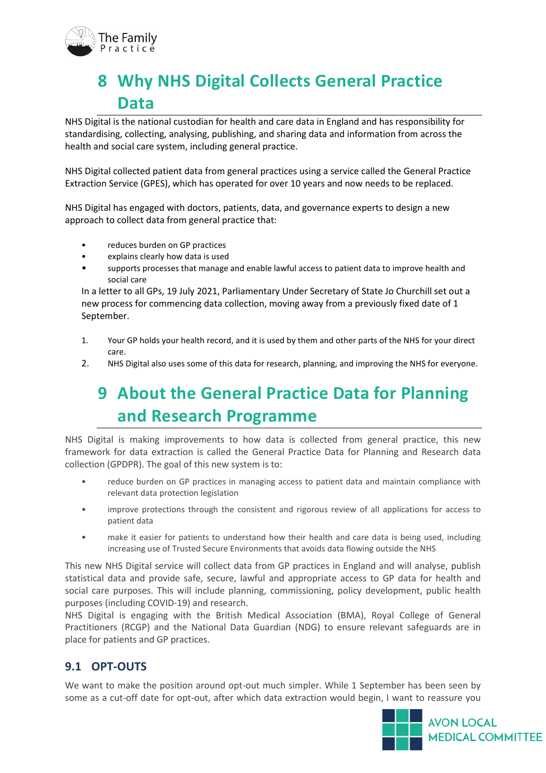

# <span id="page-11-0"></span>**8 Why NHS Digital Collects General Practice Data**

NHS Digital is the national custodian for health and care data in England and has responsibility for standardising, collecting, analysing, publishing, and sharing data and information from across the health and social care system, including general practice.

NHS Digital collected patient data from general practices using a service called the General Practice Extraction Service (GPES), which has operated for over 10 years and now needs to be replaced.

NHS Digital has engaged with doctors, patients, data, and governance experts to design a new approach to collect data from general practice that:

- reduces burden on GP practices
- explains clearly how data is used
- supports processes that manage and enable lawful access to patient data to improve health and social care

In a letter to all GPs, 19 July 2021, Parliamentary Under Secretary of State Jo Churchill set out a new process for commencing data collection, moving away from a previously fixed date of 1 September.

- 1. Your GP holds your health record, and it is used by them and other parts of the NHS for your direct care.
- <span id="page-11-1"></span>2. NHS Digital also uses some of this data for research, planning, and improving the NHS for everyone.

# **9 About the General Practice Data for Planning and Research Programme**

NHS Digital is making improvements to how data is collected from general practice, this new framework for data extraction is called the General Practice Data for Planning and Research data collection (GPDPR). The goal of this new system is to:

- reduce burden on GP practices in managing access to patient data and maintain compliance with relevant data protection legislation
- improve protections through the consistent and rigorous review of all applications for access to patient data
- make it easier for patients to understand how their health and care data is being used, including increasing use of Trusted Secure Environments that avoids data flowing outside the NHS

This new NHS Digital service will collect data from GP practices in England and will analyse, publish statistical data and provide safe, secure, lawful and appropriate access to GP data for health and social care purposes. This will include planning, commissioning, policy development, public health purposes (including COVID-19) and research.

NHS Digital is engaging with the British Medical Association (BMA), Royal College of General Practitioners (RCGP) and the National Data Guardian (NDG) to ensure relevant safeguards are in place for patients and GP practices.

### <span id="page-11-2"></span>**9.1 OPT-OUTS**

We want to make the position around opt-out much simpler. While 1 September has been seen by some as a cut-off date for opt-out, after which data extraction would begin, I want to reassure you

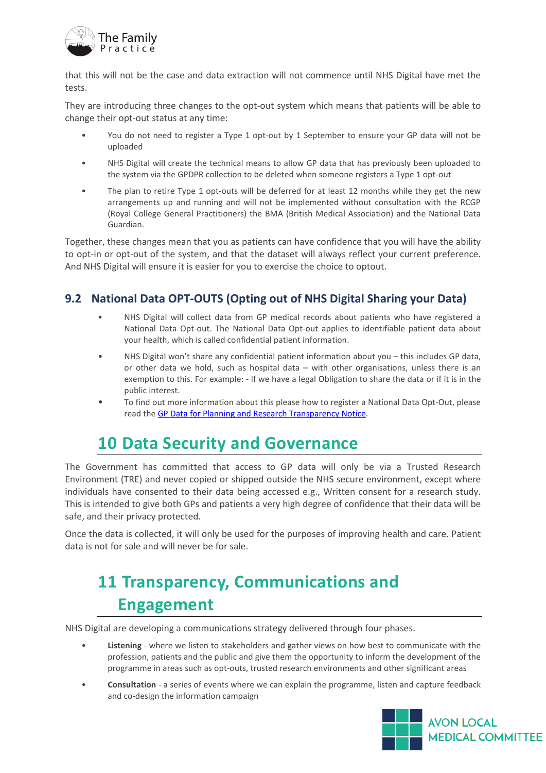

that this will not be the case and data extraction will not commence until NHS Digital have met the tests.

They are introducing three changes to the opt-out system which means that patients will be able to change their opt-out status at any time:

- You do not need to register a Type 1 opt-out by 1 September to ensure your GP data will not be uploaded
- NHS Digital will create the technical means to allow GP data that has previously been uploaded to the system via the GPDPR collection to be deleted when someone registers a Type 1 opt-out
- The plan to retire Type 1 opt-outs will be deferred for at least 12 months while they get the new arrangements up and running and will not be implemented without consultation with the RCGP (Royal College General Practitioners) the BMA (British Medical Association) and the National Data Guardian.

Together, these changes mean that you as patients can have confidence that you will have the ability to opt-in or opt-out of the system, and that the dataset will always reflect your current preference. And NHS Digital will ensure it is easier for you to exercise the choice to optout.

### <span id="page-12-0"></span>**9.2 National Data OPT-OUTS (Opting out of NHS Digital Sharing your Data)**

- NHS Digital will collect data from GP medical records about patients who have registered a National Data Opt-out. The National Data Opt-out applies to identifiable patient data about your health, which is called confidential patient information.
- NHS Digital won't share any confidential patient information about you this includes GP data, or other data we hold, such as hospital data – with other organisations, unless there is an exemption to this. For example: - If we have a legal Obligation to share the data or if it is in the public interest.
- To find out more information about this please how to register a National Data Opt-Out, please read the GP Data for Planning and [Research Transparency Notice.](https://digital.nhs.uk/data-and-information/data-collections-and-data-sets/data-collections/general-practice-data-for-planning-and-research/transparency-notice)

### <span id="page-12-1"></span>**10 Data Security and Governance**

The Government has committed that access to GP data will only be via a Trusted Research Environment (TRE) and never copied or shipped outside the NHS secure environment, except where individuals have consented to their data being accessed e.g., Written consent for a research study. This is intended to give both GPs and patients a very high degree of confidence that their data will be safe, and their privacy protected.

Once the data is collected, it will only be used for the purposes of improving health and care. Patient data is not for sale and will never be for sale.

# <span id="page-12-2"></span>**11 Transparency, Communications and Engagement**

NHS Digital are developing a communications strategy delivered through four phases.

- **Listening** where we listen to stakeholders and gather views on how best to communicate with the profession, patients and the public and give them the opportunity to inform the development of the programme in areas such as opt-outs, trusted research environments and other significant areas
- **Consultation** a series of events where we can explain the programme, listen and capture feedback and co-design the information campaign

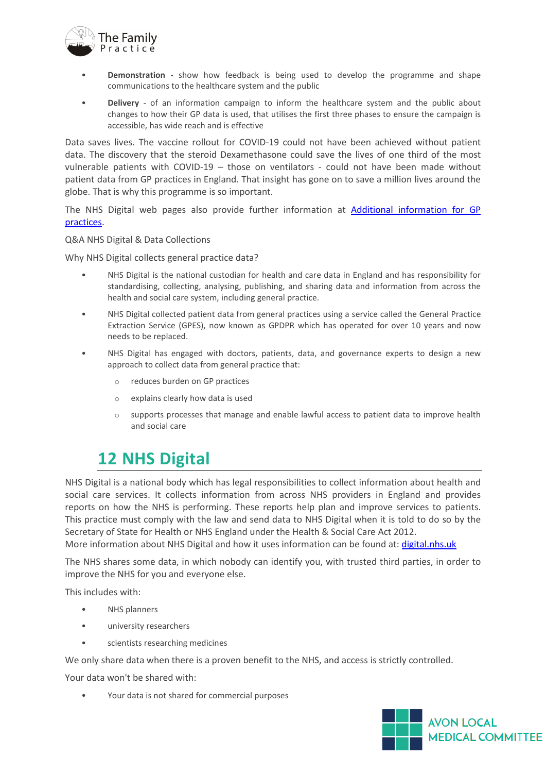

- **Demonstration** show how feedback is being used to develop the programme and shape communications to the healthcare system and the public
- **Delivery** of an information campaign to inform the healthcare system and the public about changes to how their GP data is used, that utilises the first three phases to ensure the campaign is accessible, has wide reach and is effective

Data saves lives. The vaccine rollout for COVID-19 could not have been achieved without patient data. The discovery that the steroid Dexamethasone could save the lives of one third of the most vulnerable patients with COVID-19 – those on ventilators - could not have been made without patient data from GP practices in England. That insight has gone on to save a million lives around the globe. That is why this programme is so important.

The NHS Digital web pages also provide further information at [Additional information for GP](https://digital.nhs.uk/data-and-information/data-collections-and-data-sets/data-collections/general-practice-data-for-planning-and-research#additional-information-for-gp-practices)  [practices.](https://digital.nhs.uk/data-and-information/data-collections-and-data-sets/data-collections/general-practice-data-for-planning-and-research#additional-information-for-gp-practices)

Q&A NHS Digital & Data Collections

Why NHS Digital collects general practice data?

- NHS Digital is the national custodian for health and care data in England and has responsibility for standardising, collecting, analysing, publishing, and sharing data and information from across the health and social care system, including general practice.
- NHS Digital collected patient data from general practices using a service called the General Practice Extraction Service (GPES), now known as GPDPR which has operated for over 10 years and now needs to be replaced.
- NHS Digital has engaged with doctors, patients, data, and governance experts to design a new approach to collect data from general practice that:
	- o reduces burden on GP practices
	- o explains clearly how data is used
	- o supports processes that manage and enable lawful access to patient data to improve health and social care

### <span id="page-13-0"></span>**12 NHS Digital**

NHS Digital is a national body which has legal responsibilities to collect information about health and social care services. It collects information from across NHS providers in England and provides reports on how the NHS is performing. These reports help plan and improve services to patients. This practice must comply with the law and send data to NHS Digital when it is told to do so by the Secretary of State for Health or NHS England under the Health & Social Care Act 2012.

More information about NHS Digital and how it uses information can be found at: [digital.nhs.uk](https://digital.nhs.uk/)

The NHS shares some data, in which nobody can identify you, with trusted third parties, in order to improve the NHS for you and everyone else.

This includes with:

- NHS planners
- university researchers
- scientists researching medicines

We only share data when there is a proven benefit to the NHS, and access is strictly controlled.

Your data won't be shared with:

• Your data is not shared for commercial purposes

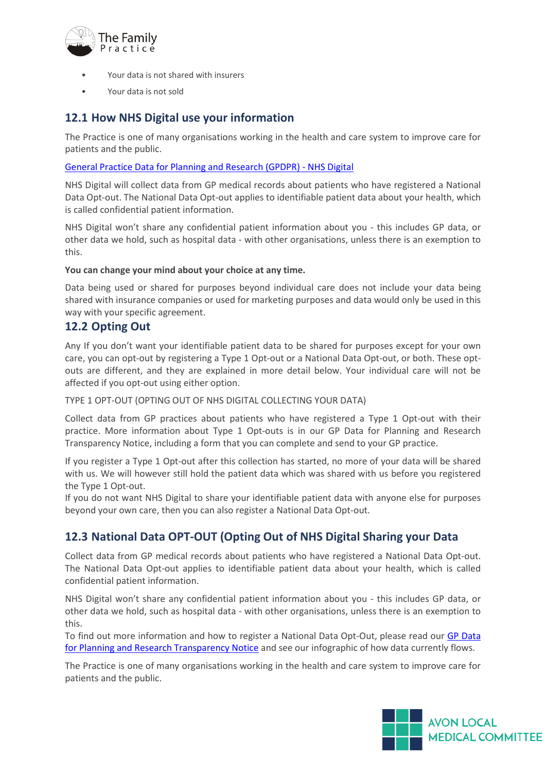

- Your data is not shared with insurers
- Your data is not sold

#### <span id="page-14-0"></span>**12.1 How NHS Digital use your information**

The Practice is one of many organisations working in the health and care system to improve care for patients and the public.

[General Practice Data for Planning and Research \(GPDPR\) -](https://digital.nhs.uk/data-and-information/data-collections-and-data-sets/data-collections/general-practice-data-for-planning-and-research/transparency-notice) NHS Digital

NHS Digital will collect data from GP medical records about patients who have registered a National Data Opt-out. The National Data Opt-out applies to identifiable patient data about your health, which is called confidential patient information.

NHS Digital won't share any confidential patient information about you - this includes GP data, or other data we hold, such as hospital data - with other organisations, unless there is an exemption to this.

#### **You can change your mind about your choice at any time.**

Data being used or shared for purposes beyond individual care does not include your data being shared with insurance companies or used for marketing purposes and data would only be used in this way with your specific agreement.

#### <span id="page-14-1"></span>**12.2 Opting Out**

Any If you don't want your identifiable patient data to be shared for purposes except for your own care, you can opt-out by registering a Type 1 Opt-out or a National Data Opt-out, or both. These optouts are different, and they are explained in more detail below. Your individual care will not be affected if you opt-out using either option.

TYPE 1 OPT-OUT (OPTING OUT OF NHS DIGITAL COLLECTING YOUR DATA)

Collect data from GP practices about patients who have registered a Type 1 Opt-out with their practice. More information about Type 1 Opt-outs is in our GP Data for Planning and Research Transparency Notice, including a form that you can complete and send to your GP practice.

If you register a Type 1 Opt-out after this collection has started, no more of your data will be shared with us. We will however still hold the patient data which was shared with us before you registered the Type 1 Opt-out.

If you do not want NHS Digital to share your identifiable patient data with anyone else for purposes beyond your own care, then you can also register a National Data Opt-out.

### <span id="page-14-2"></span>**12.3 National Data OPT-OUT (Opting Out of NHS Digital Sharing your Data**

Collect data from GP medical records about patients who have registered a National Data Opt-out. The National Data Opt-out applies to identifiable patient data about your health, which is called confidential patient information.

NHS Digital won't share any confidential patient information about you - this includes GP data, or other data we hold, such as hospital data - with other organisations, unless there is an exemption to this.

To find out more information and how to register a National Data Opt-Out, please read our [GP Data](https://digital.nhs.uk/data-and-information/data-collections-and-data-sets/data-collections/general-practice-data-for-planning-and-research/transparency-notice)  [for Planning and Research Transparency Notice](https://digital.nhs.uk/data-and-information/data-collections-and-data-sets/data-collections/general-practice-data-for-planning-and-research/transparency-notice) and see our infographic of how data currently flows.

The Practice is one of many organisations working in the health and care system to improve care for patients and the public.

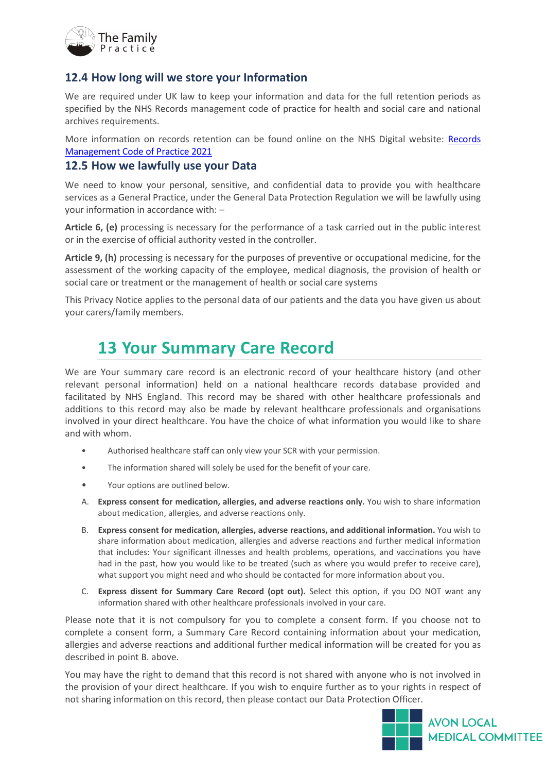

#### <span id="page-15-0"></span>**12.4 How long will we store your Information**

We are required under UK law to keep your information and data for the full retention periods as specified by the NHS Records management code of practice for health and social care and national archives requirements.

More information on records retention can be found online on the NHS Digital website: [Records](https://www.nhsx.nhs.uk/documents/75/NHSX_Records_Management_CoP_V7.pdf)  [Management Code of Practice 2021](https://www.nhsx.nhs.uk/documents/75/NHSX_Records_Management_CoP_V7.pdf)

#### <span id="page-15-1"></span>**12.5 How we lawfully use your Data**

We need to know your personal, sensitive, and confidential data to provide you with healthcare services as a General Practice, under the General Data Protection Regulation we will be lawfully using your information in accordance with: –

**Article 6, (e)** processing is necessary for the performance of a task carried out in the public interest or in the exercise of official authority vested in the controller.

**Article 9, (h)** processing is necessary for the purposes of preventive or occupational medicine, for the assessment of the working capacity of the employee, medical diagnosis, the provision of health or social care or treatment or the management of health or social care systems

This Privacy Notice applies to the personal data of our patients and the data you have given us about your carers/family members.

### <span id="page-15-2"></span>**13 Your Summary Care Record**

We are Your summary care record is an electronic record of your healthcare history (and other relevant personal information) held on a national healthcare records database provided and facilitated by NHS England. This record may be shared with other healthcare professionals and additions to this record may also be made by relevant healthcare professionals and organisations involved in your direct healthcare. You have the choice of what information you would like to share and with whom.

- Authorised healthcare staff can only view your SCR with your permission.
- The information shared will solely be used for the benefit of your care.
- Your options are outlined below.
- A. **Express consent for medication, allergies, and adverse reactions only.** You wish to share information about medication, allergies, and adverse reactions only.
- B. **Express consent for medication, allergies, adverse reactions, and additional information.** You wish to share information about medication, allergies and adverse reactions and further medical information that includes: Your significant illnesses and health problems, operations, and vaccinations you have had in the past, how you would like to be treated (such as where you would prefer to receive care), what support you might need and who should be contacted for more information about you.
- C. **Express dissent for Summary Care Record (opt out).** Select this option, if you DO NOT want any information shared with other healthcare professionals involved in your care.

Please note that it is not compulsory for you to complete a consent form. If you choose not to complete a consent form, a Summary Care Record containing information about your medication, allergies and adverse reactions and additional further medical information will be created for you as described in point B. above.

You may have the right to demand that this record is not shared with anyone who is not involved in the provision of your direct healthcare. If you wish to enquire further as to your rights in respect of not sharing information on this record, then please contact our Data Protection Officer.

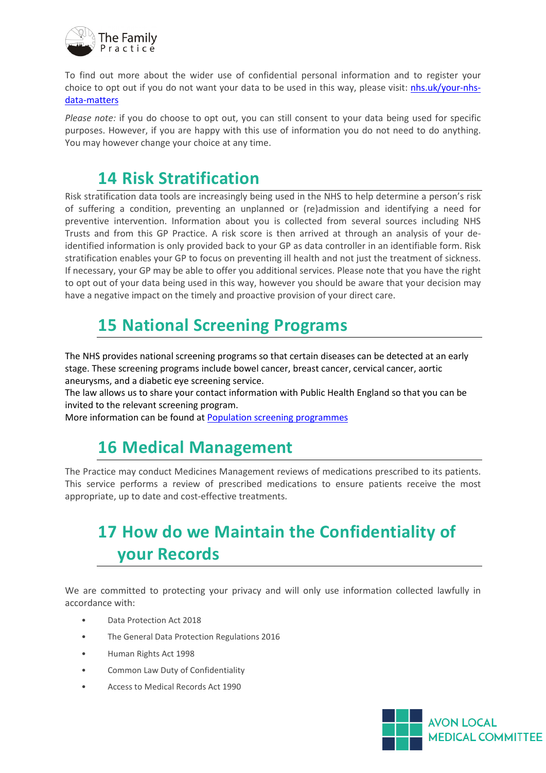

To find out more about the wider use of confidential personal information and to register your choice to opt out if you do not want your data to be used in this way, please visit: [nhs.uk/your-nhs](https://nhs.uk/your-nhs-data-matters)[data-matters](https://nhs.uk/your-nhs-data-matters)

*Please note:* if you do choose to opt out, you can still consent to your data being used for specific purposes. However, if you are happy with this use of information you do not need to do anything. You may however change your choice at any time.

### <span id="page-16-0"></span>**14 Risk Stratification**

Risk stratification data tools are increasingly being used in the NHS to help determine a person's risk of suffering a condition, preventing an unplanned or (re)admission and identifying a need for preventive intervention. Information about you is collected from several sources including NHS Trusts and from this GP Practice. A risk score is then arrived at through an analysis of your deidentified information is only provided back to your GP as data controller in an identifiable form. Risk stratification enables your GP to focus on preventing ill health and not just the treatment of sickness. If necessary, your GP may be able to offer you additional services. Please note that you have the right to opt out of your data being used in this way, however you should be aware that your decision may have a negative impact on the timely and proactive provision of your direct care.

## <span id="page-16-1"></span>**15 National Screening Programs**

The NHS provides national screening programs so that certain diseases can be detected at an early stage. These screening programs include bowel cancer, breast cancer, cervical cancer, aortic aneurysms, and a diabetic eye screening service.

The law allows us to share your contact information with Public Health England so that you can be invited to the relevant screening program.

More information can be found at [Population screening programmes](http://www.gov.uk/topic/population-screening-programmes)

# <span id="page-16-2"></span>**16 Medical Management**

The Practice may conduct Medicines Management reviews of medications prescribed to its patients. This service performs a review of prescribed medications to ensure patients receive the most appropriate, up to date and cost-effective treatments.

# <span id="page-16-3"></span>**17 How do we Maintain the Confidentiality of your Records**

We are committed to protecting your privacy and will only use information collected lawfully in accordance with:

- Data Protection Act 2018
- The General Data Protection Regulations 2016
- Human Rights Act 1998
- Common Law Duty of Confidentiality
- Access to Medical Records Act 1990

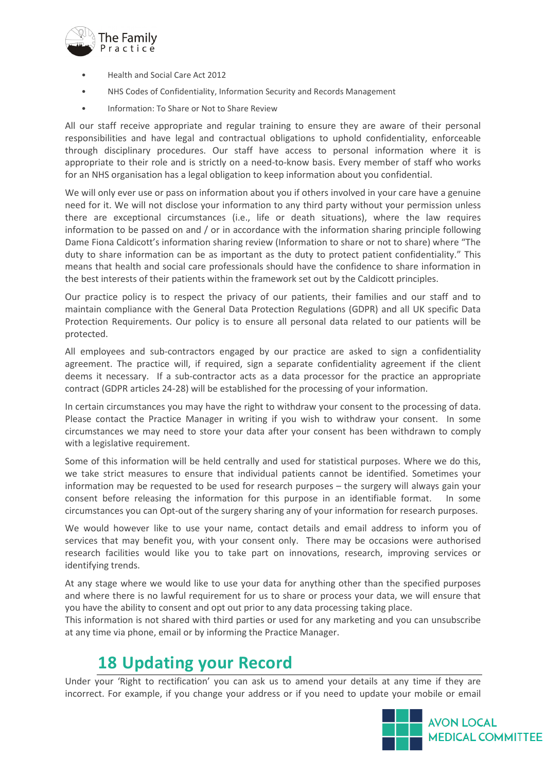

- Health and Social Care Act 2012
- NHS Codes of Confidentiality, Information Security and Records Management
- Information: To Share or Not to Share Review

All our staff receive appropriate and regular training to ensure they are aware of their personal responsibilities and have legal and contractual obligations to uphold confidentiality, enforceable through disciplinary procedures. Our staff have access to personal information where it is appropriate to their role and is strictly on a need-to-know basis. Every member of staff who works for an NHS organisation has a legal obligation to keep information about you confidential.

We will only ever use or pass on information about you if others involved in your care have a genuine need for it. We will not disclose your information to any third party without your permission unless there are exceptional circumstances (i.e., life or death situations), where the law requires information to be passed on and / or in accordance with the information sharing principle following Dame Fiona Caldicott's information sharing review (Information to share or not to share) where "The duty to share information can be as important as the duty to protect patient confidentiality." This means that health and social care professionals should have the confidence to share information in the best interests of their patients within the framework set out by the Caldicott principles.

Our practice policy is to respect the privacy of our patients, their families and our staff and to maintain compliance with the General Data Protection Regulations (GDPR) and all UK specific Data Protection Requirements. Our policy is to ensure all personal data related to our patients will be protected.

All employees and sub-contractors engaged by our practice are asked to sign a confidentiality agreement. The practice will, if required, sign a separate confidentiality agreement if the client deems it necessary. If a sub-contractor acts as a data processor for the practice an appropriate contract (GDPR articles 24-28) will be established for the processing of your information.

In certain circumstances you may have the right to withdraw your consent to the processing of data. Please contact the Practice Manager in writing if you wish to withdraw your consent. In some circumstances we may need to store your data after your consent has been withdrawn to comply with a legislative requirement.

Some of this information will be held centrally and used for statistical purposes. Where we do this, we take strict measures to ensure that individual patients cannot be identified. Sometimes your information may be requested to be used for research purposes – the surgery will always gain your consent before releasing the information for this purpose in an identifiable format. In some circumstances you can Opt-out of the surgery sharing any of your information for research purposes.

We would however like to use your name, contact details and email address to inform you of services that may benefit you, with your consent only. There may be occasions were authorised research facilities would like you to take part on innovations, research, improving services or identifying trends.

At any stage where we would like to use your data for anything other than the specified purposes and where there is no lawful requirement for us to share or process your data, we will ensure that you have the ability to consent and opt out prior to any data processing taking place.

This information is not shared with third parties or used for any marketing and you can unsubscribe at any time via phone, email or by informing the Practice Manager.

### <span id="page-17-0"></span>**18 Updating your Record**

Under your 'Right to rectification' you can ask us to amend your details at any time if they are incorrect. For example, if you change your address or if you need to update your mobile or email

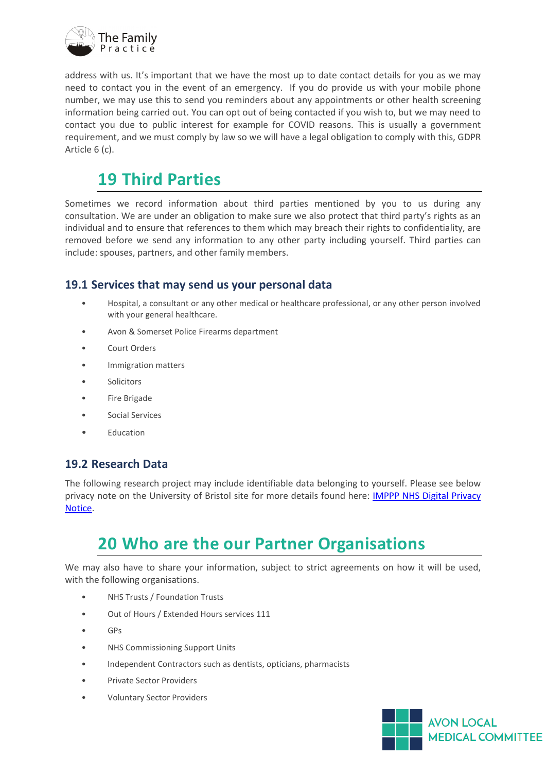

address with us. It's important that we have the most up to date contact details for you as we may need to contact you in the event of an emergency. If you do provide us with your mobile phone number, we may use this to send you reminders about any appointments or other health screening information being carried out. You can opt out of being contacted if you wish to, but we may need to contact you due to public interest for example for COVID reasons. This is usually a government requirement, and we must comply by law so we will have a legal obligation to comply with this, GDPR Article 6 (c).

### <span id="page-18-0"></span>**19 Third Parties**

Sometimes we record information about third parties mentioned by you to us during any consultation. We are under an obligation to make sure we also protect that third party's rights as an individual and to ensure that references to them which may breach their rights to confidentiality, are removed before we send any information to any other party including yourself. Third parties can include: spouses, partners, and other family members.

### <span id="page-18-1"></span>**19.1 Services that may send us your personal data**

- Hospital, a consultant or any other medical or healthcare professional, or any other person involved with your general healthcare.
- Avon & Somerset Police Firearms department
- Court Orders
- Immigration matters
- **Solicitors**
- Fire Brigade
- Social Services
- **Education**

### <span id="page-18-2"></span>**19.2 Research Data**

The following research project may include identifiable data belonging to yourself. Please see below privacy note on the University of Bristol site for more details found here: [IMPPP NHS Digital Privacy](http://www.bristol.ac.uk/primaryhealthcare/researchthemes/imppp/about-imppp-for-study-participants/nhs-digital-privacy-statement/)  [Notice.](http://www.bristol.ac.uk/primaryhealthcare/researchthemes/imppp/about-imppp-for-study-participants/nhs-digital-privacy-statement/)

### <span id="page-18-3"></span>**20 Who are the our Partner Organisations**

We may also have to share your information, subject to strict agreements on how it will be used, with the following organisations.

- NHS Trusts / Foundation Trusts
- Out of Hours / Extended Hours services 111
- GPs
- NHS Commissioning Support Units
- Independent Contractors such as dentists, opticians, pharmacists
- Private Sector Providers
- Voluntary Sector Providers

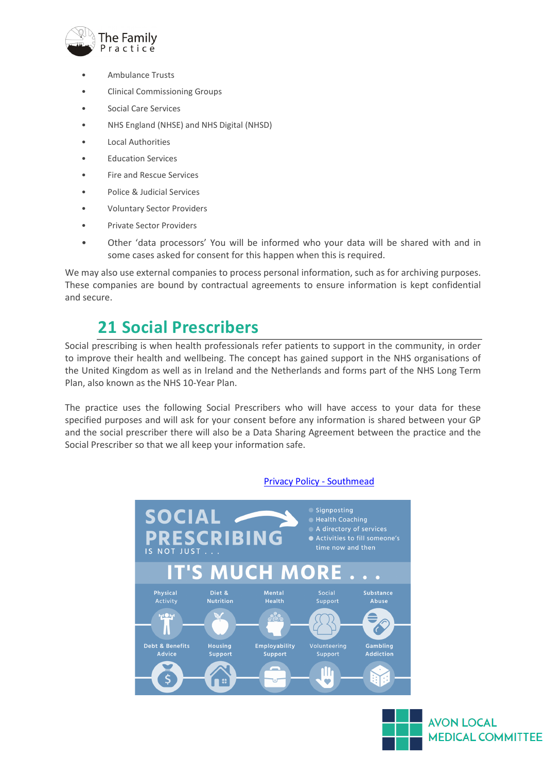

- Ambulance Trusts
- Clinical Commissioning Groups
- Social Care Services
- NHS England (NHSE) and NHS Digital (NHSD)
- Local Authorities
- Education Services
- Fire and Rescue Services
- Police & Judicial Services
- Voluntary Sector Providers
- Private Sector Providers
- Other 'data processors' You will be informed who your data will be shared with and in some cases asked for consent for this happen when this is required.

We may also use external companies to process personal information, such as for archiving purposes. These companies are bound by contractual agreements to ensure information is kept confidential and secure.

### <span id="page-19-0"></span>**21 Social Prescribers**

Social prescribing is when health professionals refer patients to support in the community, in order to improve their health and wellbeing. The concept has gained support in the NHS organisations of the United Kingdom as well as in Ireland and the Netherlands and forms part of the NHS Long Term Plan, also known as the NHS 10-Year Plan.

The practice uses the following Social Prescribers who will have access to your data for these specified purposes and will ask for your consent before any information is shared between your GP and the social prescriber there will also be a Data Sharing Agreement between the practice and the Social Prescriber so that we all keep your information safe.



#### [Privacy Policy - Southmead](https://southmead.org/privacy-policy)

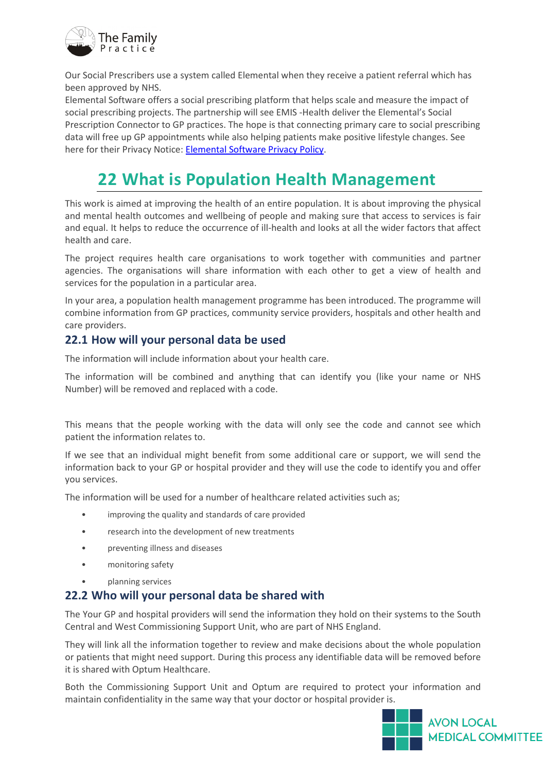

Our Social Prescribers use a system called Elemental when they receive a patient referral which has been approved by NHS.

Elemental Software offers a social prescribing platform that helps scale and measure the impact of social prescribing projects. The partnership will see EMIS -Health deliver the Elemental's Social Prescription Connector to GP practices. The hope is that connecting primary care to social prescribing data will free up GP appointments while also helping patients make positive lifestyle changes. See here for their Privacy Notice: [Elemental Software Privacy Policy.](https://elementalsoftware.co/privacy-policy/)

### <span id="page-20-0"></span>**22 What is Population Health Management**

This work is aimed at improving the health of an entire population. It is about improving the physical and mental health outcomes and wellbeing of people and making sure that access to services is fair and equal. It helps to reduce the occurrence of ill-health and looks at all the wider factors that affect health and care.

The project requires health care organisations to work together with communities and partner agencies. The organisations will share information with each other to get a view of health and services for the population in a particular area.

In your area, a population health management programme has been introduced. The programme will combine information from GP practices, community service providers, hospitals and other health and care providers.

### <span id="page-20-1"></span>**22.1 How will your personal data be used**

The information will include information about your health care.

The information will be combined and anything that can identify you (like your name or NHS Number) will be removed and replaced with a code.

This means that the people working with the data will only see the code and cannot see which patient the information relates to.

If we see that an individual might benefit from some additional care or support, we will send the information back to your GP or hospital provider and they will use the code to identify you and offer you services.

The information will be used for a number of healthcare related activities such as;

- improving the quality and standards of care provided
- research into the development of new treatments
- preventing illness and diseases
- monitoring safety
- planning services

#### <span id="page-20-2"></span>**22.2 Who will your personal data be shared with**

The Your GP and hospital providers will send the information they hold on their systems to the South Central and West Commissioning Support Unit, who are part of NHS England.

They will link all the information together to review and make decisions about the whole population or patients that might need support. During this process any identifiable data will be removed before it is shared with Optum Healthcare.

Both the Commissioning Support Unit and Optum are required to protect your information and maintain confidentiality in the same way that your doctor or hospital provider is.

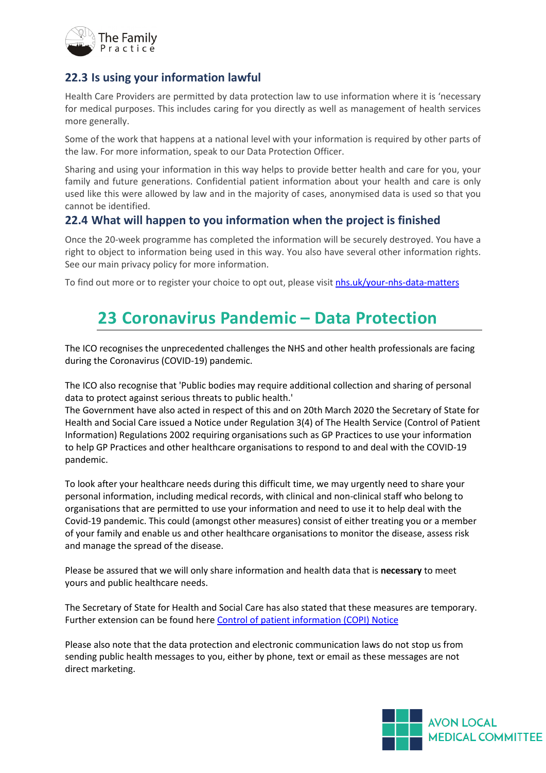

### <span id="page-21-0"></span>**22.3 Is using your information lawful**

Health Care Providers are permitted by data protection law to use information where it is 'necessary for medical purposes. This includes caring for you directly as well as management of health services more generally.

Some of the work that happens at a national level with your information is required by other parts of the law. For more information, speak to our Data Protection Officer.

Sharing and using your information in this way helps to provide better health and care for you, your family and future generations. Confidential patient information about your health and care is only used like this were allowed by law and in the majority of cases, anonymised data is used so that you cannot be identified.

### <span id="page-21-1"></span>**22.4 What will happen to you information when the project is finished**

Once the 20-week programme has completed the information will be securely destroyed. You have a right to object to information being used in this way. You also have several other information rights. See our main privacy policy for more information.

To find out more or to register your choice to opt out, please visit [nhs.uk/your-nhs-data-matters](http://www.nhs.uk/your-nhs-data-matters)

### <span id="page-21-2"></span>**23 Coronavirus Pandemic – Data Protection**

The ICO recognises the unprecedented challenges the NHS and other health professionals are facing during the Coronavirus (COVID-19) pandemic.

The ICO also recognise that 'Public bodies may require additional collection and sharing of personal data to protect against serious threats to public health.'

The Government have also acted in respect of this and on 20th March 2020 the Secretary of State for Health and Social Care issued a Notice under Regulation 3(4) of The Health Service (Control of Patient Information) Regulations 2002 requiring organisations such as GP Practices to use your information to help GP Practices and other healthcare organisations to respond to and deal with the COVID-19 pandemic.

To look after your healthcare needs during this difficult time, we may urgently need to share your personal information, including medical records, with clinical and non-clinical staff who belong to organisations that are permitted to use your information and need to use it to help deal with the Covid-19 pandemic. This could (amongst other measures) consist of either treating you or a member of your family and enable us and other healthcare organisations to monitor the disease, assess risk and manage the spread of the disease.

Please be assured that we will only share information and health data that is **necessary** to meet yours and public healthcare needs.

The Secretary of State for Health and Social Care has also stated that these measures are temporary. Further extension can be found here [Control of patient information \(COPI\) Notice](https://digital.nhs.uk/coronavirus/coronavirus-covid-19-response-information-governance-hub/control-of-patient-information-copi-notice)

Please also note that the data protection and electronic communication laws do not stop us from sending public health messages to you, either by phone, text or email as these messages are not direct marketing.

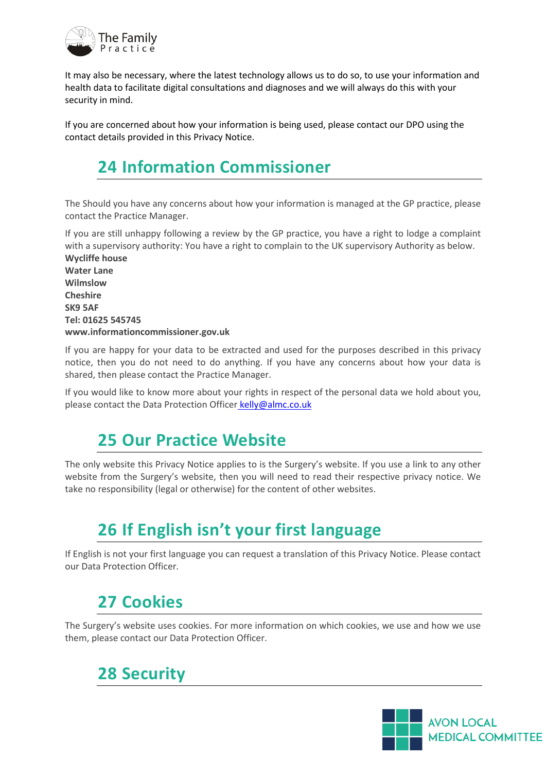

It may also be necessary, where the latest technology allows us to do so, to use your information and health data to facilitate digital consultations and diagnoses and we will always do this with your security in mind.

If you are concerned about how your information is being used, please contact our DPO using the contact details provided in this Privacy Notice.

# <span id="page-22-0"></span>**24 Information Commissioner**

The Should you have any concerns about how your information is managed at the GP practice, please contact the Practice Manager.

If you are still unhappy following a review by the GP practice, you have a right to lodge a complaint with a supervisory authority: You have a right to complain to the UK supervisory Authority as below. **Wycliffe house**

**Water Lane Wilmslow Cheshire SK9 5AF Tel: 01625 545745 www.informationcommissioner.gov.uk** 

If you are happy for your data to be extracted and used for the purposes described in this privacy notice, then you do not need to do anything. If you have any concerns about how your data is shared, then please contact the Practice Manager.

If you would like to know more about your rights in respect of the personal data we hold about you, please contact the Data Protection Officer [kelly@almc.co.uk](mailto:%20kelly@almc.co.uk)

### <span id="page-22-1"></span>**25 Our Practice Website**

The only website this Privacy Notice applies to is the Surgery's website. If you use a link to any other website from the Surgery's website, then you will need to read their respective privacy notice. We take no responsibility (legal or otherwise) for the content of other websites.

### <span id="page-22-2"></span>**26 If English isn't your first language**

If English is not your first language you can request a translation of this Privacy Notice. Please contact our Data Protection Officer.

### <span id="page-22-3"></span>**27 Cookies**

The Surgery's website uses cookies. For more information on which cookies, we use and how we use them, please contact our Data Protection Officer.

# <span id="page-22-4"></span>**28 Security**